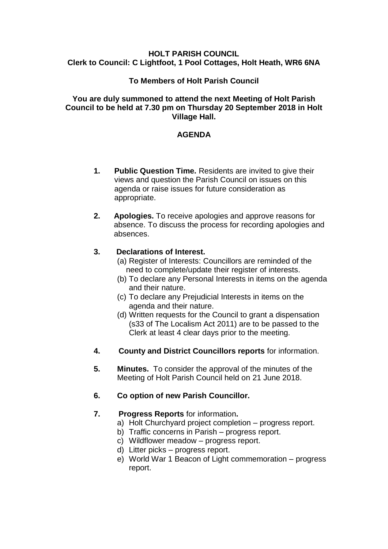#### **HOLT PARISH COUNCIL Clerk to Council: C Lightfoot, 1 Pool Cottages, Holt Heath, WR6 6NA**

## **To Members of Holt Parish Council**

#### **You are duly summoned to attend the next Meeting of Holt Parish Council to be held at 7.30 pm on Thursday 20 September 2018 in Holt Village Hall.**

## **AGENDA**

- **1. Public Question Time.** Residents are invited to give their views and question the Parish Council on issues on this agenda or raise issues for future consideration as appropriate.
- **2. Apologies.** To receive apologies and approve reasons for absence. To discuss the process for recording apologies and absences.

#### **3. Declarations of Interest.**

- (a) Register of Interests: Councillors are reminded of the need to complete/update their register of interests.
- (b) To declare any Personal Interests in items on the agenda and their nature.
- (c) To declare any Prejudicial Interests in items on the agenda and their nature.
- (d) Written requests for the Council to grant a dispensation (s33 of The Localism Act 2011) are to be passed to the Clerk at least 4 clear days prior to the meeting.
- **4. County and District Councillors reports** for information.
- **5. Minutes.** To consider the approval of the minutes of the Meeting of Holt Parish Council held on 21 June 2018.
- **6. Co option of new Parish Councillor.**

# **7. Progress Reports** for information**.**

- a) Holt Churchyard project completion progress report.
- b) Traffic concerns in Parish progress report.
- c) Wildflower meadow progress report.
- d) Litter picks progress report.
- e) World War 1 Beacon of Light commemoration progress report.